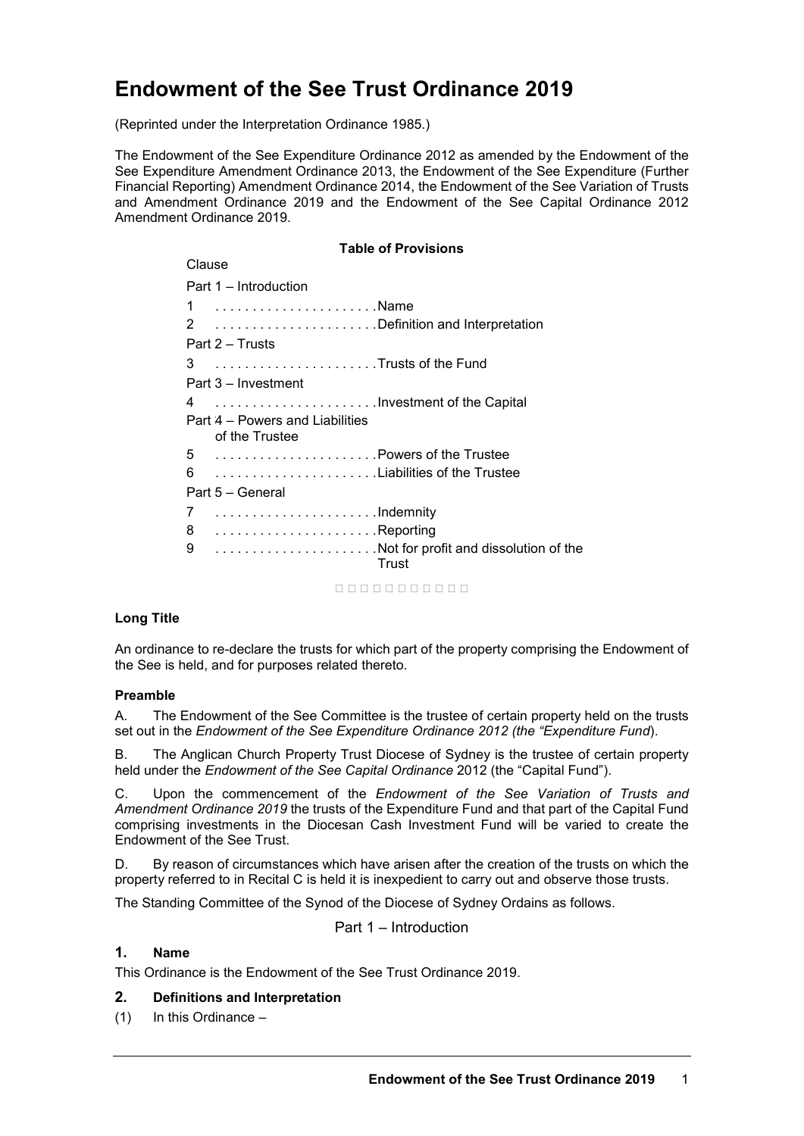# **Endowment of the See Trust Ordinance 2019**

(Reprinted under the Interpretation Ordinance 1985.)

The Endowment of the See Expenditure Ordinance 2012 as amended by the Endowment of the See Expenditure Amendment Ordinance 2013, the Endowment of the See Expenditure (Further Financial Reporting) Amendment Ordinance 2014, the Endowment of the See Variation of Trusts and Amendment Ordinance 2019 and the Endowment of the See Capital Ordinance 2012 Amendment Ordinance 2019.

## **Table of Provisions** Clause Part 1 – Introduction 1 . . . . . . . . . . . . . . . . . . . . . .Name 2 . . . . . . . . . . . . . . . . . . . . . . Definition and Interpretation Part 2 – Trusts 3 . . . . . . . . . . . . . . . . . . . . . . Trusts of the Fund Part 3 – Investment 4 . . . . . . . . . . . . . . . . . . . . . . Investment of the Capital Part 4 – Powers and Liabilities of the Trustee 5 . . . . . . . . . . . . . . . . . . . . . . Powers of the Trustee 6 . . . . . . . . . . . . . . . . . . . . . . Liabilities of the Trustee Part 5 – General 7 . . . . . . . . . . . . . . . . . . . . . . Indemnity 8 . . . . . . . . . . . . . . . . . . . . . . Reporting 9 . . . . . . . . . . . . . . . . . . . . . . Not for profit and dissolution of the **Trust** nnnnnnnnnn

#### **Long Title**

An ordinance to re-declare the trusts for which part of the property comprising the Endowment of the See is held, and for purposes related thereto.

#### **Preamble**

A. The Endowment of the See Committee is the trustee of certain property held on the trusts set out in the *Endowment of the See Expenditure Ordinance 2012 (the "Expenditure Fund*).

B. The Anglican Church Property Trust Diocese of Sydney is the trustee of certain property held under the *Endowment of the See Capital Ordinance* 2012 (the "Capital Fund").

C. Upon the commencement of the *Endowment of the See Variation of Trusts and Amendment Ordinance 2019* the trusts of the Expenditure Fund and that part of the Capital Fund comprising investments in the Diocesan Cash Investment Fund will be varied to create the Endowment of the See Trust.

D. By reason of circumstances which have arisen after the creation of the trusts on which the property referred to in Recital C is held it is inexpedient to carry out and observe those trusts.

The Standing Committee of the Synod of the Diocese of Sydney Ordains as follows.

Part 1 – Introduction

## **1. Name**

This Ordinance is the Endowment of the See Trust Ordinance 2019.

## **2. Definitions and Interpretation**

(1) In this Ordinance –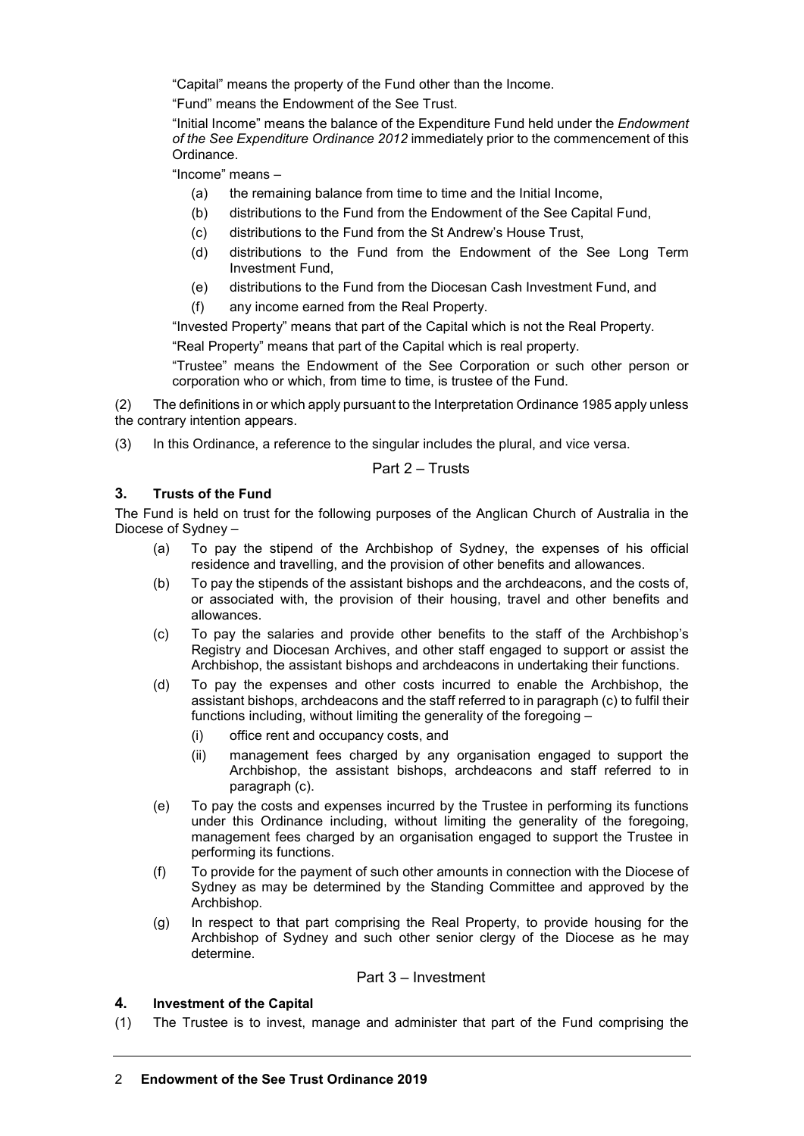"Capital" means the property of the Fund other than the Income.

"Fund" means the Endowment of the See Trust.

"Initial Income" means the balance of the Expenditure Fund held under the *Endowment of the See Expenditure Ordinance 2012* immediately prior to the commencement of this Ordinance.

"Income" means –

- (a) the remaining balance from time to time and the Initial Income,
- (b) distributions to the Fund from the Endowment of the See Capital Fund,
- (c) distributions to the Fund from the St Andrew's House Trust,
- (d) distributions to the Fund from the Endowment of the See Long Term Investment Fund,
- (e) distributions to the Fund from the Diocesan Cash Investment Fund, and
- (f) any income earned from the Real Property.

"Invested Property" means that part of the Capital which is not the Real Property. "Real Property" means that part of the Capital which is real property.

"Trustee" means the Endowment of the See Corporation or such other person or corporation who or which, from time to time, is trustee of the Fund.

(2) The definitions in or which apply pursuant to the Interpretation Ordinance 1985 apply unless the contrary intention appears.

(3) In this Ordinance, a reference to the singular includes the plural, and vice versa.

#### Part 2 – Trusts

### **3. Trusts of the Fund**

The Fund is held on trust for the following purposes of the Anglican Church of Australia in the Diocese of Sydney –

- (a) To pay the stipend of the Archbishop of Sydney, the expenses of his official residence and travelling, and the provision of other benefits and allowances.
- (b) To pay the stipends of the assistant bishops and the archdeacons, and the costs of, or associated with, the provision of their housing, travel and other benefits and allowances.
- (c) To pay the salaries and provide other benefits to the staff of the Archbishop's Registry and Diocesan Archives, and other staff engaged to support or assist the Archbishop, the assistant bishops and archdeacons in undertaking their functions.
- (d) To pay the expenses and other costs incurred to enable the Archbishop, the assistant bishops, archdeacons and the staff referred to in paragraph (c) to fulfil their functions including, without limiting the generality of the foregoing –
	- (i) office rent and occupancy costs, and
	- (ii) management fees charged by any organisation engaged to support the Archbishop, the assistant bishops, archdeacons and staff referred to in paragraph (c).
- (e) To pay the costs and expenses incurred by the Trustee in performing its functions under this Ordinance including, without limiting the generality of the foregoing, management fees charged by an organisation engaged to support the Trustee in performing its functions.
- (f) To provide for the payment of such other amounts in connection with the Diocese of Sydney as may be determined by the Standing Committee and approved by the Archbishop.
- (g) In respect to that part comprising the Real Property, to provide housing for the Archbishop of Sydney and such other senior clergy of the Diocese as he may determine.

#### Part 3 – Investment

#### **4. Investment of the Capital**

(1) The Trustee is to invest, manage and administer that part of the Fund comprising the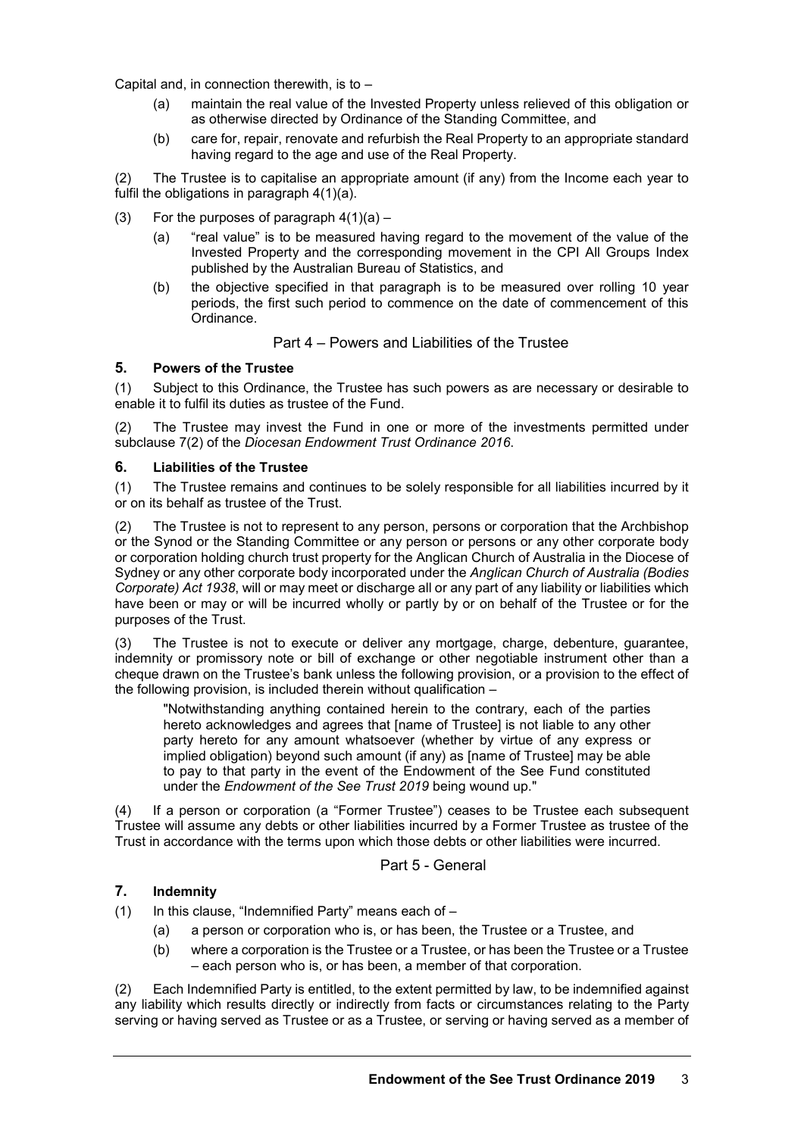Capital and, in connection therewith, is to –

- (a) maintain the real value of the Invested Property unless relieved of this obligation or as otherwise directed by Ordinance of the Standing Committee, and
- (b) care for, repair, renovate and refurbish the Real Property to an appropriate standard having regard to the age and use of the Real Property.

(2) The Trustee is to capitalise an appropriate amount (if any) from the Income each year to fulfil the obligations in paragraph 4(1)(a).

- (3) For the purposes of paragraph  $4(1)(a) -$ 
	- (a) "real value" is to be measured having regard to the movement of the value of the Invested Property and the corresponding movement in the CPI All Groups Index published by the Australian Bureau of Statistics, and
	- (b) the objective specified in that paragraph is to be measured over rolling 10 year periods, the first such period to commence on the date of commencement of this Ordinance.

#### Part 4 – Powers and Liabilities of the Trustee

#### **5. Powers of the Trustee**

(1) Subject to this Ordinance, the Trustee has such powers as are necessary or desirable to enable it to fulfil its duties as trustee of the Fund.

(2) The Trustee may invest the Fund in one or more of the investments permitted under subclause 7(2) of the *Diocesan Endowment Trust Ordinance 2016*.

#### **6. Liabilities of the Trustee**

(1) The Trustee remains and continues to be solely responsible for all liabilities incurred by it or on its behalf as trustee of the Trust.

(2) The Trustee is not to represent to any person, persons or corporation that the Archbishop or the Synod or the Standing Committee or any person or persons or any other corporate body or corporation holding church trust property for the Anglican Church of Australia in the Diocese of Sydney or any other corporate body incorporated under the *Anglican Church of Australia (Bodies Corporate) Act 1938*, will or may meet or discharge all or any part of any liability or liabilities which have been or may or will be incurred wholly or partly by or on behalf of the Trustee or for the purposes of the Trust.

(3) The Trustee is not to execute or deliver any mortgage, charge, debenture, guarantee, indemnity or promissory note or bill of exchange or other negotiable instrument other than a cheque drawn on the Trustee's bank unless the following provision, or a provision to the effect of the following provision, is included therein without qualification –

"Notwithstanding anything contained herein to the contrary, each of the parties hereto acknowledges and agrees that [name of Trustee] is not liable to any other party hereto for any amount whatsoever (whether by virtue of any express or implied obligation) beyond such amount (if any) as [name of Trustee] may be able to pay to that party in the event of the Endowment of the See Fund constituted under the *Endowment of the See Trust 2019* being wound up."

(4) If a person or corporation (a "Former Trustee") ceases to be Trustee each subsequent Trustee will assume any debts or other liabilities incurred by a Former Trustee as trustee of the Trust in accordance with the terms upon which those debts or other liabilities were incurred.

#### Part 5 - General

#### **7. Indemnity**

(1) In this clause, "Indemnified Party" means each of  $-$ 

- (a) a person or corporation who is, or has been, the Trustee or a Trustee, and
- (b) where a corporation is the Trustee or a Trustee, or has been the Trustee or a Trustee – each person who is, or has been, a member of that corporation.

(2) Each Indemnified Party is entitled, to the extent permitted by law, to be indemnified against any liability which results directly or indirectly from facts or circumstances relating to the Party serving or having served as Trustee or as a Trustee, or serving or having served as a member of